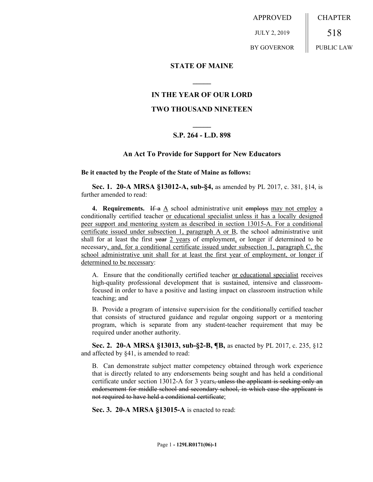APPROVED JULY 2, 2019 BY GOVERNOR CHAPTER 518 PUBLIC LAW

### **STATE OF MAINE**

# **IN THE YEAR OF OUR LORD**

**\_\_\_\_\_**

# **TWO THOUSAND NINETEEN**

# **\_\_\_\_\_ S.P. 264 - L.D. 898**

### **An Act To Provide for Support for New Educators**

#### **Be it enacted by the People of the State of Maine as follows:**

**Sec. 1. 20-A MRSA §13012-A, sub-§4,** as amended by PL 2017, c. 381, §14, is further amended to read:

**4. Requirements.** If a A school administrative unit employs may not employ a conditionally certified teacher or educational specialist unless it has a locally designed peer support and mentoring system as described in section 13015-A. For a conditional certificate issued under subsection 1, paragraph A or B, the school administrative unit shall for at least the first year 2 years of employment, or longer if determined to be necessary, and, for a conditional certificate issued under subsection 1, paragraph C, the school administrative unit shall for at least the first year of employment, or longer if determined to be necessary:

A. Ensure that the conditionally certified teacher or educational specialist receives high-quality professional development that is sustained, intensive and classroomfocused in order to have a positive and lasting impact on classroom instruction while teaching; and

B. Provide a program of intensive supervision for the conditionally certified teacher that consists of structured guidance and regular ongoing support or a mentoring program, which is separate from any student-teacher requirement that may be required under another authority.

**Sec. 2. 20-A MRSA §13013, sub-§2-B, ¶B,** as enacted by PL 2017, c. 235, §12 and affected by §41, is amended to read:

B. Can demonstrate subject matter competency obtained through work experience that is directly related to any endorsements being sought and has held a conditional certificate under section 13012-A for 3 years, unless the applicant is seeking only an endorsement for middle school and secondary school, in which case the applicant is not required to have held a conditional certificate;

**Sec. 3. 20-A MRSA §13015-A** is enacted to read: